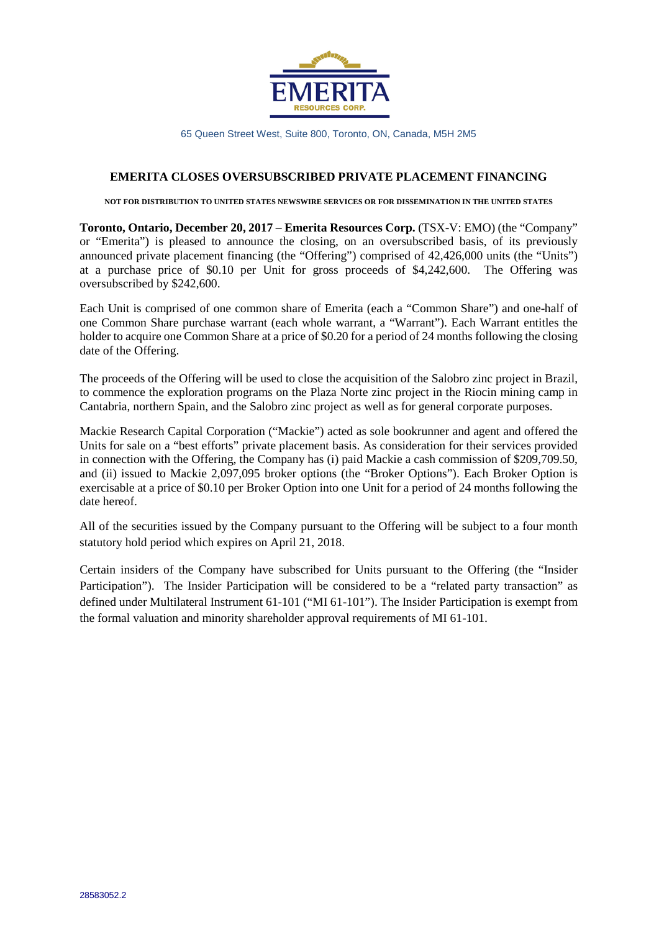

65 Queen Street West, Suite 800, Toronto, ON, Canada, M5H 2M5

## **EMERITA CLOSES OVERSUBSCRIBED PRIVATE PLACEMENT FINANCING**

**NOT FOR DISTRIBUTION TO UNITED STATES NEWSWIRE SERVICES OR FOR DISSEMINATION IN THE UNITED STATES**

**Toronto, Ontario, December 20, 2017** – **Emerita Resources Corp.** (TSX-V: EMO) (the "Company" or "Emerita") is pleased to announce the closing, on an oversubscribed basis, of its previously announced private placement financing (the "Offering") comprised of 42,426,000 units (the "Units") at a purchase price of \$0.10 per Unit for gross proceeds of \$4,242,600. The Offering was oversubscribed by \$242,600.

Each Unit is comprised of one common share of Emerita (each a "Common Share") and one-half of one Common Share purchase warrant (each whole warrant, a "Warrant"). Each Warrant entitles the holder to acquire one Common Share at a price of \$0.20 for a period of 24 months following the closing date of the Offering.

The proceeds of the Offering will be used to close the acquisition of the Salobro zinc project in Brazil, to commence the exploration programs on the Plaza Norte zinc project in the Riocin mining camp in Cantabria, northern Spain, and the Salobro zinc project as well as for general corporate purposes.

Mackie Research Capital Corporation ("Mackie") acted as sole bookrunner and agent and offered the Units for sale on a "best efforts" private placement basis. As consideration for their services provided in connection with the Offering, the Company has (i) paid Mackie a cash commission of \$209,709.50, and (ii) issued to Mackie 2,097,095 broker options (the "Broker Options"). Each Broker Option is exercisable at a price of \$0.10 per Broker Option into one Unit for a period of 24 months following the date hereof.

All of the securities issued by the Company pursuant to the Offering will be subject to a four month statutory hold period which expires on April 21, 2018.

Certain insiders of the Company have subscribed for Units pursuant to the Offering (the "Insider Participation"). The Insider Participation will be considered to be a "related party transaction" as defined under Multilateral Instrument 61-101 ("MI 61-101"). The Insider Participation is exempt from the formal valuation and minority shareholder approval requirements of MI 61-101.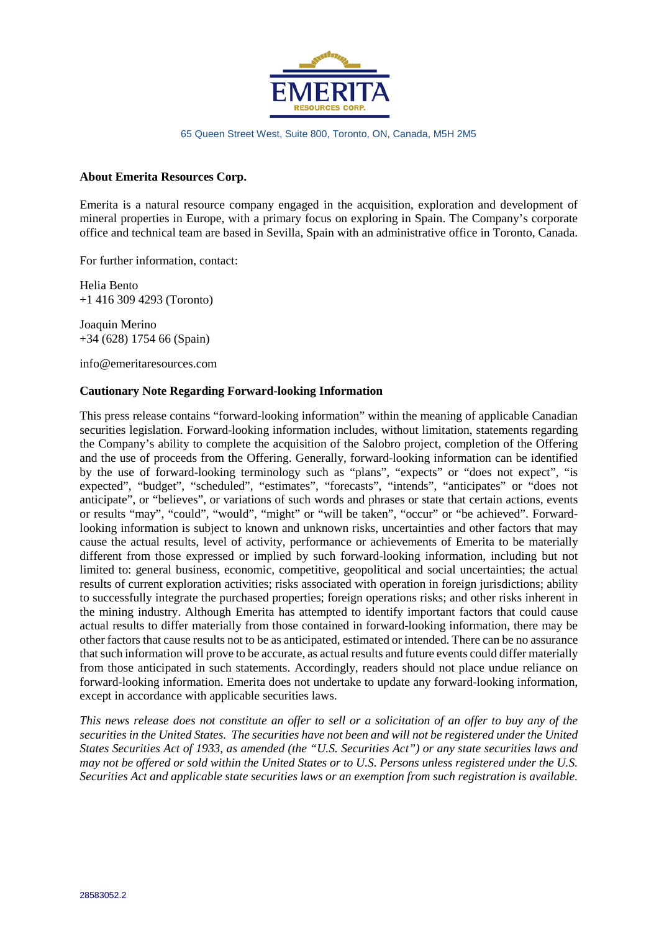

65 Queen Street West, Suite 800, Toronto, ON, Canada, M5H 2M5

## **About Emerita Resources Corp.**

Emerita is a natural resource company engaged in the acquisition, exploration and development of mineral properties in Europe, with a primary focus on exploring in Spain. The Company's corporate office and technical team are based in Sevilla, Spain with an administrative office in Toronto, Canada.

For further information, contact:

Helia Bento +1 416 309 4293 (Toronto)

Joaquin Merino +34 (628) 1754 66 (Spain)

info@emeritaresources.com

## **Cautionary Note Regarding Forward-looking Information**

This press release contains "forward-looking information" within the meaning of applicable Canadian securities legislation. Forward-looking information includes, without limitation, statements regarding the Company's ability to complete the acquisition of the Salobro project, completion of the Offering and the use of proceeds from the Offering. Generally, forward-looking information can be identified by the use of forward-looking terminology such as "plans", "expects" or "does not expect", "is expected", "budget", "scheduled", "estimates", "forecasts", "intends", "anticipates" or "does not anticipate", or "believes", or variations of such words and phrases or state that certain actions, events or results "may", "could", "would", "might" or "will be taken", "occur" or "be achieved". Forwardlooking information is subject to known and unknown risks, uncertainties and other factors that may cause the actual results, level of activity, performance or achievements of Emerita to be materially different from those expressed or implied by such forward-looking information, including but not limited to: general business, economic, competitive, geopolitical and social uncertainties; the actual results of current exploration activities; risks associated with operation in foreign jurisdictions; ability to successfully integrate the purchased properties; foreign operations risks; and other risks inherent in the mining industry. Although Emerita has attempted to identify important factors that could cause actual results to differ materially from those contained in forward-looking information, there may be other factors that cause results not to be as anticipated, estimated or intended. There can be no assurance that such information will prove to be accurate, as actual results and future events could differ materially from those anticipated in such statements. Accordingly, readers should not place undue reliance on forward-looking information. Emerita does not undertake to update any forward-looking information, except in accordance with applicable securities laws.

*This news release does not constitute an offer to sell or a solicitation of an offer to buy any of the securities in the United States. The securities have not been and will not be registered under the United States Securities Act of 1933, as amended (the "U.S. Securities Act") or any state securities laws and may not be offered or sold within the United States or to U.S. Persons unless registered under the U.S. Securities Act and applicable state securities laws or an exemption from such registration is available.*